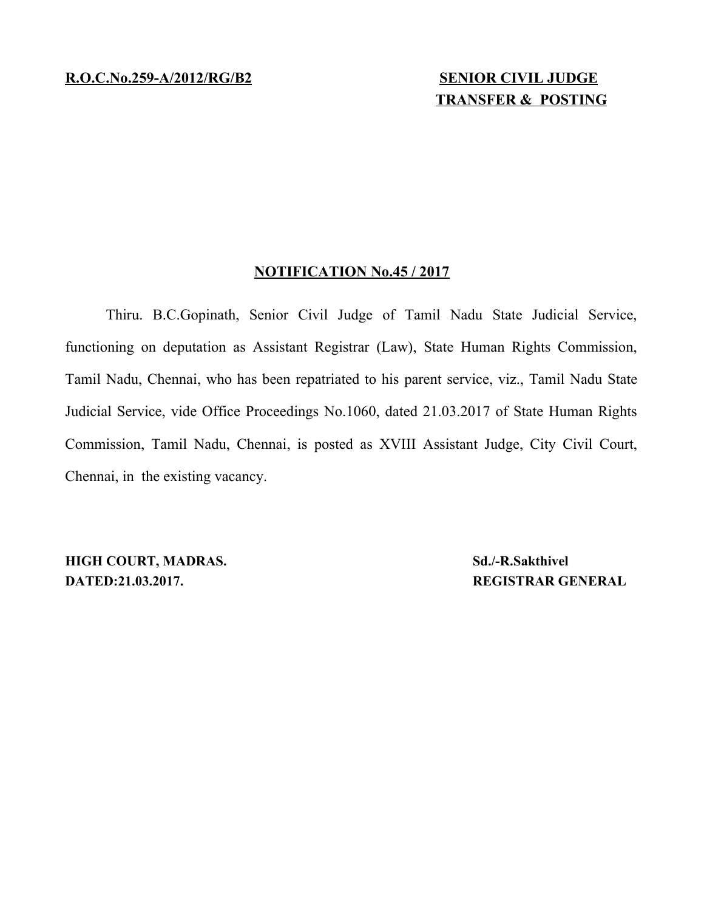## **TRANSFER & POSTING**

## **NOTIFICATION No.45 / 2017**

Thiru. B.C.Gopinath, Senior Civil Judge of Tamil Nadu State Judicial Service, functioning on deputation as Assistant Registrar (Law), State Human Rights Commission, Tamil Nadu, Chennai, who has been repatriated to his parent service, viz., Tamil Nadu State Judicial Service, vide Office Proceedings No.1060, dated 21.03.2017 of State Human Rights Commission, Tamil Nadu, Chennai, is posted as XVIII Assistant Judge, City Civil Court, Chennai, in the existing vacancy.

**HIGH COURT, MADRAS. Sd./-R.Sakthivel DATED:21.03.2017. REGISTRAR GENERAL**